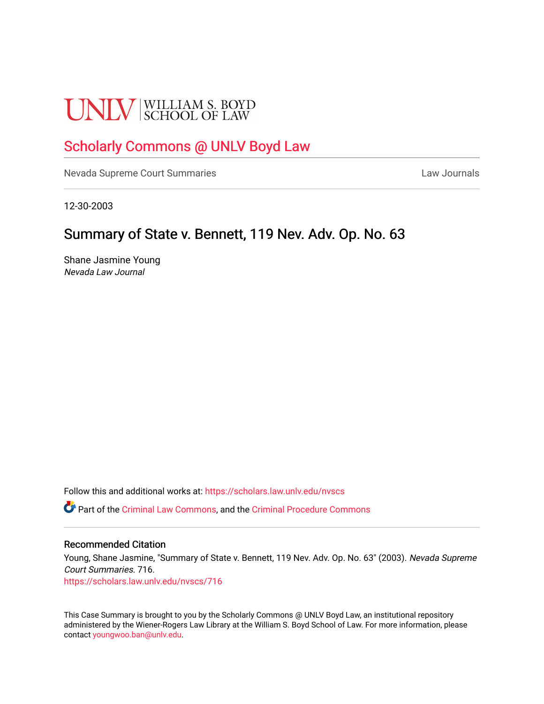# **UNLV** SCHOOL OF LAW

# [Scholarly Commons @ UNLV Boyd Law](https://scholars.law.unlv.edu/)

[Nevada Supreme Court Summaries](https://scholars.law.unlv.edu/nvscs) **Law Journals** Law Journals

12-30-2003

## Summary of State v. Bennett, 119 Nev. Adv. Op. No. 63

Shane Jasmine Young Nevada Law Journal

Follow this and additional works at: [https://scholars.law.unlv.edu/nvscs](https://scholars.law.unlv.edu/nvscs?utm_source=scholars.law.unlv.edu%2Fnvscs%2F716&utm_medium=PDF&utm_campaign=PDFCoverPages)

Part of the [Criminal Law Commons,](http://network.bepress.com/hgg/discipline/912?utm_source=scholars.law.unlv.edu%2Fnvscs%2F716&utm_medium=PDF&utm_campaign=PDFCoverPages) and the [Criminal Procedure Commons](http://network.bepress.com/hgg/discipline/1073?utm_source=scholars.law.unlv.edu%2Fnvscs%2F716&utm_medium=PDF&utm_campaign=PDFCoverPages)

#### Recommended Citation

Young, Shane Jasmine, "Summary of State v. Bennett, 119 Nev. Adv. Op. No. 63" (2003). Nevada Supreme Court Summaries. 716.

[https://scholars.law.unlv.edu/nvscs/716](https://scholars.law.unlv.edu/nvscs/716?utm_source=scholars.law.unlv.edu%2Fnvscs%2F716&utm_medium=PDF&utm_campaign=PDFCoverPages)

This Case Summary is brought to you by the Scholarly Commons @ UNLV Boyd Law, an institutional repository administered by the Wiener-Rogers Law Library at the William S. Boyd School of Law. For more information, please contact [youngwoo.ban@unlv.edu](mailto:youngwoo.ban@unlv.edu).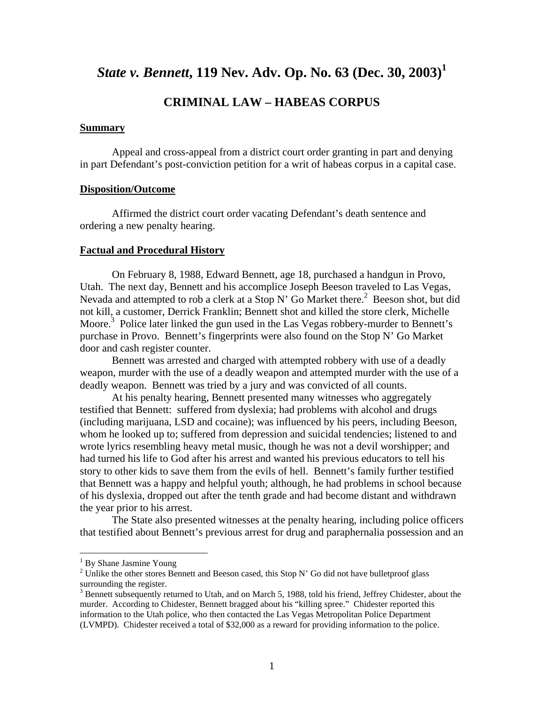# *State v. Bennett*, 119 Nev. Adv. Op. No. 63 (Dec. 30, 2003)<sup>1</sup>

## **CRIMINAL LAW – HABEAS CORPUS**

#### **Summary**

Appeal and cross-appeal from a district court order granting in part and denying in part Defendant's post-conviction petition for a writ of habeas corpus in a capital case.

#### **Disposition/Outcome**

 Affirmed the district court order vacating Defendant's death sentence and ordering a new penalty hearing.

#### **Factual and Procedural History**

 On February 8, 1988, Edward Bennett, age 18, purchased a handgun in Provo, Utah. The next day, Bennett and his accomplice Joseph Beeson traveled to Las Vegas, Nevada and attempted to rob a clerk at a Stop N' Go Market there.<sup>2</sup> Beeson shot, but did not kill, a customer, Derrick Franklin; Bennett shot and killed the store clerk, Michelle Moore.<sup>3</sup> Police later linked the gun used in the Las Vegas robbery-murder to Bennett's purchase in Provo. Bennett's fingerprints were also found on the Stop N' Go Market door and cash register counter.

Bennett was arrested and charged with attempted robbery with use of a deadly weapon, murder with the use of a deadly weapon and attempted murder with the use of a deadly weapon. Bennett was tried by a jury and was convicted of all counts.

At his penalty hearing, Bennett presented many witnesses who aggregately testified that Bennett: suffered from dyslexia; had problems with alcohol and drugs (including marijuana, LSD and cocaine); was influenced by his peers, including Beeson, whom he looked up to; suffered from depression and suicidal tendencies; listened to and wrote lyrics resembling heavy metal music, though he was not a devil worshipper; and had turned his life to God after his arrest and wanted his previous educators to tell his story to other kids to save them from the evils of hell. Bennett's family further testified that Bennett was a happy and helpful youth; although, he had problems in school because of his dyslexia, dropped out after the tenth grade and had become distant and withdrawn the year prior to his arrest.

The State also presented witnesses at the penalty hearing, including police officers that testified about Bennett's previous arrest for drug and paraphernalia possession and an

 $\overline{a}$ 

<sup>&</sup>lt;sup>1</sup> By Shane Jasmine Young

<sup>&</sup>lt;sup>2</sup> Unlike the other stores Bennett and Beeson cased, this Stop N' Go did not have bullet proof glass surrounding the register.

<sup>&</sup>lt;sup>3</sup> Bennett subsequently returned to Utah, and on March 5, 1988, told his friend, Jeffrey Chidester, about the murder. According to Chidester, Bennett bragged about his "killing spree." Chidester reported this information to the Utah police, who then contacted the Las Vegas Metropolitan Police Department (LVMPD). Chidester received a total of \$32,000 as a reward for providing information to the police.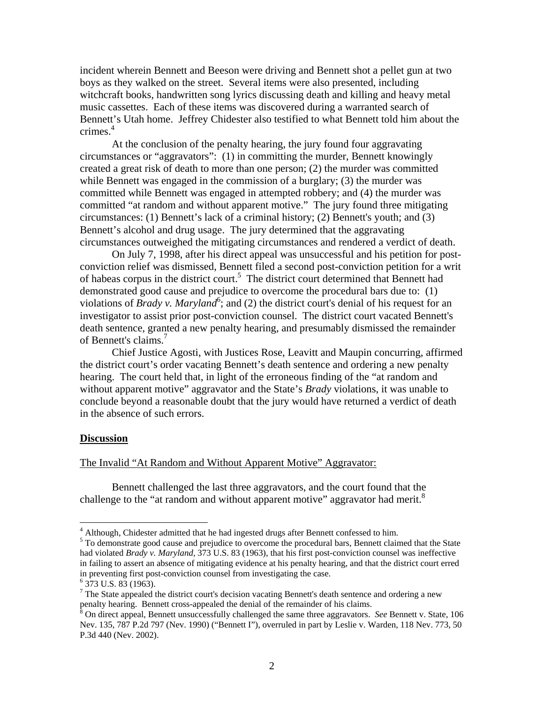incident wherein Bennett and Beeson were driving and Bennett shot a pellet gun at two boys as they walked on the street. Several items were also presented, including witchcraft books, handwritten song lyrics discussing death and killing and heavy metal music cassettes. Each of these items was discovered during a warranted search of Bennett's Utah home. Jeffrey Chidester also testified to what Bennett told him about the crimes.4

 At the conclusion of the penalty hearing, the jury found four aggravating circumstances or "aggravators": (1) in committing the murder, Bennett knowingly created a great risk of death to more than one person; (2) the murder was committed while Bennett was engaged in the commission of a burglary; (3) the murder was committed while Bennett was engaged in attempted robbery; and (4) the murder was committed "at random and without apparent motive." The jury found three mitigating circumstances: (1) Bennett's lack of a criminal history; (2) Bennett's youth; and (3) Bennett's alcohol and drug usage. The jury determined that the aggravating circumstances outweighed the mitigating circumstances and rendered a verdict of death.

 On July 7, 1998, after his direct appeal was unsuccessful and his petition for postconviction relief was dismissed, Bennett filed a second post-conviction petition for a writ of habeas corpus in the district court.<sup>5</sup> The district court determined that Bennett had demonstrated good cause and prejudice to overcome the procedural bars due to: (1) violations of *Brady v. Maryland*<sup>6</sup>; and (2) the district court's denial of his request for an investigator to assist prior post-conviction counsel. The district court vacated Bennett's death sentence, granted a new penalty hearing, and presumably dismissed the remainder of Bennett's claims.<sup>7</sup>

 Chief Justice Agosti, with Justices Rose, Leavitt and Maupin concurring, affirmed the district court's order vacating Bennett's death sentence and ordering a new penalty hearing. The court held that, in light of the erroneous finding of the "at random and without apparent motive" aggravator and the State's *Brady* violations, it was unable to conclude beyond a reasonable doubt that the jury would have returned a verdict of death in the absence of such errors.

#### **Discussion**

 $\overline{a}$ 

#### The Invalid "At Random and Without Apparent Motive" Aggravator:

 Bennett challenged the last three aggravators, and the court found that the challenge to the "at random and without apparent motive" aggravator had merit.<sup>8</sup>

<sup>&</sup>lt;sup>4</sup> Although, Chidester admitted that he had ingested drugs after Bennett confessed to him.

<sup>&</sup>lt;sup>5</sup> To demonstrate good cause and prejudice to overcome the procedural bars, Bennett claimed that the State had violated *Brady v. Maryland,* 373 U.S. 83 (1963), that his first post-conviction counsel was ineffective in failing to assert an absence of mitigating evidence at his penalty hearing, and that the district court erred in preventing first post-conviction counsel from investigating the case.

 $6\overline{37}3$  U.S. 83 (1963).

 $7$  The State appealed the district court's decision vacating Bennett's death sentence and ordering a new penalty hearing. Bennett cross-appealed the denial of the remainder of his claims. 8 On direct appeal, Bennett unsuccessfully challenged the same three aggravators. *See* Bennett v. State, 106

Nev. 135, 787 P.2d 797 (Nev. 1990) ("Bennett I"), overruled in part by Leslie v. Warden, 118 Nev. 773, 50 P.3d 440 (Nev. 2002).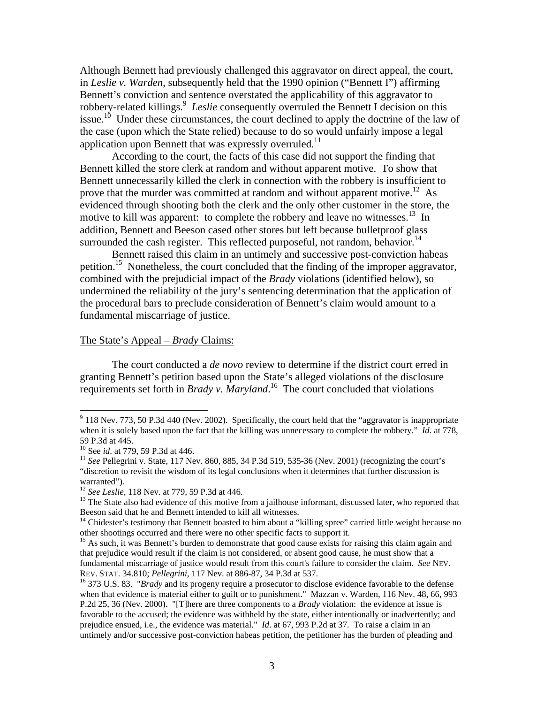Although Bennett had previously challenged this aggravator on direct appeal, the court, in *Leslie v. Warden*, subsequently held that the 1990 opinion ("Bennett I") affirming Bennett's conviction and sentence overstated the applicability of this aggravator to robbery-related killings.<sup>9</sup> Leslie consequently overruled the Bennett I decision on this issue.<sup>10</sup> Under these circumstances, the court declined to apply the doctrine of the law of the case (upon which the State relied) because to do so would unfairly impose a legal application upon Bennett that was expressly overruled.<sup>11</sup>

 According to the court, the facts of this case did not support the finding that Bennett killed the store clerk at random and without apparent motive. To show that Bennett unnecessarily killed the clerk in connection with the robbery is insufficient to prove that the murder was committed at random and without apparent motive.<sup>12</sup> As evidenced through shooting both the clerk and the only other customer in the store, the motive to kill was apparent: to complete the robbery and leave no witnesses.<sup>13</sup> In addition, Bennett and Beeson cased other stores but left because bulletproof glass surrounded the cash register. This reflected purposeful, not random, behavior.<sup>14</sup>

 Bennett raised this claim in an untimely and successive post-conviction habeas petition.<sup>15</sup> Nonetheless, the court concluded that the finding of the improper aggravator, combined with the prejudicial impact of the *Brady* violations (identified below), so undermined the reliability of the jury's sentencing determination that the application of the procedural bars to preclude consideration of Bennett's claim would amount to a fundamental miscarriage of justice.

#### The State's Appeal – *Brady* Claims:

 The court conducted a *de novo* review to determine if the district court erred in granting Bennett's petition based upon the State's alleged violations of the disclosure requirements set forth in *Brady v. Maryland*.<sup>16</sup> The court concluded that violations

 $\overline{a}$ 

 $9$  118 Nev. 773, 50 P.3d 440 (Nev. 2002). Specifically, the court held that the "aggravator is inappropriate" when it is solely based upon the fact that the killing was unnecessary to complete the robbery." *Id.* at 778, 59 P.3d at 445.<br><sup>10</sup> See *id*. at 779, 59 P.3d at 446.

<sup>&</sup>lt;sup>11</sup> See Pellegrini v. State, 117 Nev. 860, 885, 34 P.3d 519, 535-36 (Nev. 2001) (recognizing the court's "discretion to revisit the wisdom of its legal conclusions when it determines that further discussion is warranted").<br><sup>12</sup> See Leslie, 118 Nev. at 779, 59 P.3d at 446.

<sup>&</sup>lt;sup>13</sup> The State also had evidence of this motive from a jailhouse informant, discussed later, who reported that Beeson said that he and Bennett intended to kill all witnesses.

<sup>&</sup>lt;sup>14</sup> Chidester's testimony that Bennett boasted to him about a "killing spree" carried little weight because no other shootings occurred and there were no other specific facts to support it.

<sup>&</sup>lt;sup>15</sup> As such, it was Bennett's burden to demonstrate that good cause exists for raising this claim again and that prejudice would result if the claim is not considered, or absent good cause, he must show that a fundamental miscarriage of justice would result from this court's failure to consider the claim. *See* NEV. REV. STAT. 34.810; *Pellegrini*, 117 Nev. at 886-87, 34 P.3d at 537.<br><sup>16</sup> 373 U.S. 83. "*Brady* and its progeny require a prosecutor to disclose evidence favorable to the defense

when that evidence is material either to guilt or to punishment." Mazzan v. Warden, 116 Nev. 48, 66, 993 P.2d 25, 36 (Nev. 2000). "[T]here are three components to a *Brady* violation: the evidence at issue is favorable to the accused; the evidence was withheld by the state, either intentionally or inadvertently; and prejudice ensued, i.e., the evidence was material." *Id*. at 67, 993 P.2d at 37. To raise a claim in an untimely and/or successive post-conviction habeas petition, the petitioner has the burden of pleading and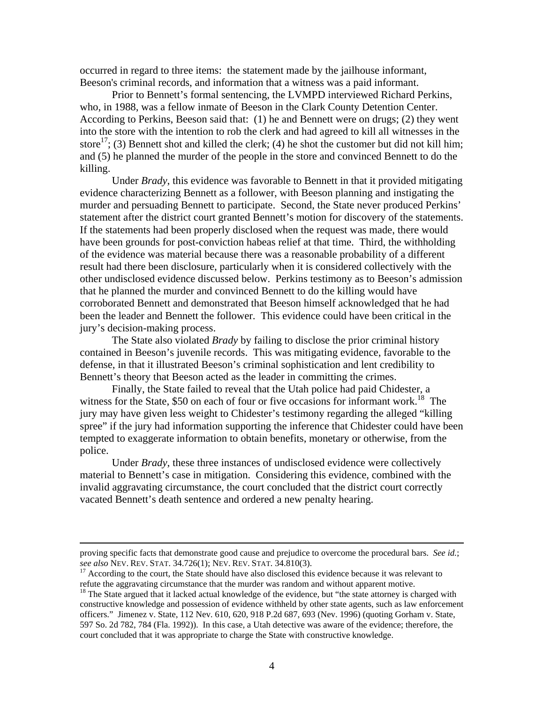occurred in regard to three items: the statement made by the jailhouse informant, Beeson's criminal records, and information that a witness was a paid informant.

 Prior to Bennett's formal sentencing, the LVMPD interviewed Richard Perkins, who, in 1988, was a fellow inmate of Beeson in the Clark County Detention Center. According to Perkins, Beeson said that: (1) he and Bennett were on drugs; (2) they went into the store with the intention to rob the clerk and had agreed to kill all witnesses in the store<sup>17</sup>; (3) Bennett shot and killed the clerk; (4) he shot the customer but did not kill him; and (5) he planned the murder of the people in the store and convinced Bennett to do the killing.

 Under *Brady*, this evidence was favorable to Bennett in that it provided mitigating evidence characterizing Bennett as a follower, with Beeson planning and instigating the murder and persuading Bennett to participate. Second, the State never produced Perkins' statement after the district court granted Bennett's motion for discovery of the statements. If the statements had been properly disclosed when the request was made, there would have been grounds for post-conviction habeas relief at that time. Third, the withholding of the evidence was material because there was a reasonable probability of a different result had there been disclosure, particularly when it is considered collectively with the other undisclosed evidence discussed below. Perkins testimony as to Beeson's admission that he planned the murder and convinced Bennett to do the killing would have corroborated Bennett and demonstrated that Beeson himself acknowledged that he had been the leader and Bennett the follower. This evidence could have been critical in the jury's decision-making process.

 The State also violated *Brady* by failing to disclose the prior criminal history contained in Beeson's juvenile records. This was mitigating evidence, favorable to the defense, in that it illustrated Beeson's criminal sophistication and lent credibility to Bennett's theory that Beeson acted as the leader in committing the crimes.

 Finally, the State failed to reveal that the Utah police had paid Chidester, a witness for the State,  $$50$  on each of four or five occasions for informant work.<sup>18</sup> The jury may have given less weight to Chidester's testimony regarding the alleged "killing spree" if the jury had information supporting the inference that Chidester could have been tempted to exaggerate information to obtain benefits, monetary or otherwise, from the police.

 Under *Brady*, these three instances of undisclosed evidence were collectively material to Bennett's case in mitigation. Considering this evidence, combined with the invalid aggravating circumstance, the court concluded that the district court correctly vacated Bennett's death sentence and ordered a new penalty hearing.

proving specific facts that demonstrate good cause and prejudice to overcome the procedural bars. *See id.*; *see also* NEV. REV. STAT. 34.726(1); NEV. REV. STAT. 34.810(3).<br><sup>17</sup> According to the court, the State should have also disclosed this evidence because it was relevant to

refute the aggravating circumstance that the murder was random and without apparent motive.<br><sup>18</sup> The State argued that it lacked actual knowledge of the evidence, but "the state attorney is charged with

constructive knowledge and possession of evidence withheld by other state agents, such as law enforcement officers." Jimenez v. State, 112 Nev. 610, 620, 918 P.2d 687, 693 (Nev. 1996) (quoting Gorham v. State, 597 So. 2d 782, 784 (Fla. 1992)). In this case, a Utah detective was aware of the evidence; therefore, the court concluded that it was appropriate to charge the State with constructive knowledge.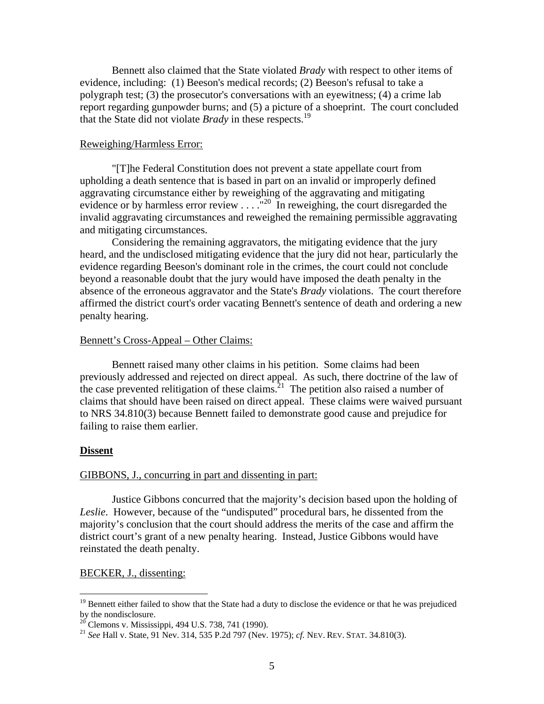Bennett also claimed that the State violated *Brady* with respect to other items of evidence, including: (1) Beeson's medical records; (2) Beeson's refusal to take a polygraph test; (3) the prosecutor's conversations with an eyewitness; (4) a crime lab report regarding gunpowder burns; and (5) a picture of a shoeprint. The court concluded that the State did not violate *Brady* in these respects.<sup>19</sup>

#### Reweighing/Harmless Error:

 "[T]he Federal Constitution does not prevent a state appellate court from upholding a death sentence that is based in part on an invalid or improperly defined aggravating circumstance either by reweighing of the aggravating and mitigating evidence or by harmless error review  $\dots$ ."<sup>20</sup> In reweighing, the court disregarded the invalid aggravating circumstances and reweighed the remaining permissible aggravating and mitigating circumstances.

Considering the remaining aggravators, the mitigating evidence that the jury heard, and the undisclosed mitigating evidence that the jury did not hear, particularly the evidence regarding Beeson's dominant role in the crimes, the court could not conclude beyond a reasonable doubt that the jury would have imposed the death penalty in the absence of the erroneous aggravator and the State's *Brady* violations. The court therefore affirmed the district court's order vacating Bennett's sentence of death and ordering a new penalty hearing.

#### Bennett's Cross-Appeal – Other Claims:

 Bennett raised many other claims in his petition. Some claims had been previously addressed and rejected on direct appeal. As such, there doctrine of the law of the case prevented relitigation of these claims.<sup>21</sup> The petition also raised a number of claims that should have been raised on direct appeal. These claims were waived pursuant to NRS 34.810(3) because Bennett failed to demonstrate good cause and prejudice for failing to raise them earlier.

#### **Dissent**

<u>.</u>

#### GIBBONS, J., concurring in part and dissenting in part:

 Justice Gibbons concurred that the majority's decision based upon the holding of *Leslie*. However, because of the "undisputed" procedural bars, he dissented from the majority's conclusion that the court should address the merits of the case and affirm the district court's grant of a new penalty hearing. Instead, Justice Gibbons would have reinstated the death penalty.

## BECKER, J., dissenting:

<sup>&</sup>lt;sup>19</sup> Bennett either failed to show that the State had a duty to disclose the evidence or that he was prejudiced by the nondisclosure.

 $20$  Clemons v. Mississippi, 494 U.S. 738, 741 (1990).

<sup>21</sup> *See* Hall v. State, 91 Nev. 314, 535 P.2d 797 (Nev. 1975); *cf.* NEV. REV. STAT. 34.810(3).